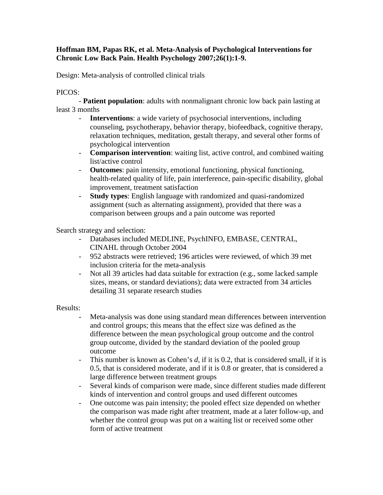## **Hoffman BM, Papas RK, et al. Meta-Analysis of Psychological Interventions for Chronic Low Back Pain. Health Psychology 2007;26(1):1-9.**

Design: Meta-analysis of controlled clinical trials

## PICOS:

- **Patient population**: adults with nonmalignant chronic low back pain lasting at least 3 months

- **Interventions**: a wide variety of psychosocial interventions, including counseling, psychotherapy, behavior therapy, biofeedback, cognitive therapy, relaxation techniques, meditation, gestalt therapy, and several other forms of psychological intervention
- **Comparison intervention**: waiting list, active control, and combined waiting list/active control
- **Outcomes**: pain intensity, emotional functioning, physical functioning, health-related quality of life, pain interference, pain-specific disability, global improvement, treatment satisfaction
- **Study types**: English language with randomized and quasi-randomized assignment (such as alternating assignment), provided that there was a comparison between groups and a pain outcome was reported

Search strategy and selection:

- Databases included MEDLINE, PsychINFO, EMBASE, CENTRAL, CINAHL through October 2004
- 952 abstracts were retrieved; 196 articles were reviewed, of which 39 met inclusion criteria for the meta-analysis
- Not all 39 articles had data suitable for extraction (e.g., some lacked sample sizes, means, or standard deviations); data were extracted from 34 articles detailing 31 separate research studies

## Results:

- Meta-analysis was done using standard mean differences between intervention and control groups; this means that the effect size was defined as the difference between the mean psychological group outcome and the control group outcome, divided by the standard deviation of the pooled group outcome
- This number is known as Cohen's *d*, if it is 0.2, that is considered small, if it is 0.5, that is considered moderate, and if it is 0.8 or greater, that is considered a large difference between treatment groups
- Several kinds of comparison were made, since different studies made different kinds of intervention and control groups and used different outcomes
- One outcome was pain intensity; the pooled effect size depended on whether the comparison was made right after treatment, made at a later follow-up, and whether the control group was put on a waiting list or received some other form of active treatment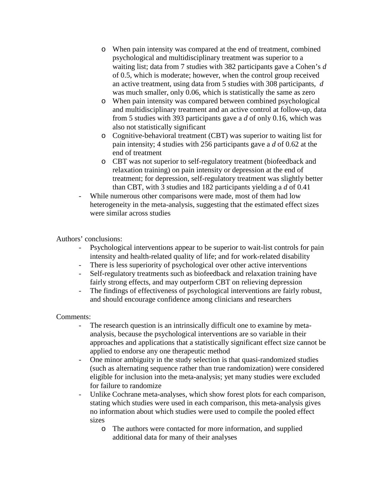- o When pain intensity was compared at the end of treatment, combined psychological and multidisciplinary treatment was superior to a waiting list; data from 7 studies with 382 participants gave a Cohen's *d* of 0.5, which is moderate; however, when the control group received an active treatment, using data from 5 studies with 308 participants, *d* was much smaller, only 0.06, which is statistically the same as zero
- o When pain intensity was compared between combined psychological and multidisciplinary treatment and an active control at follow-up, data from 5 studies with 393 participants gave a *d* of only 0.16, which was also not statistically significant
- o Cognitive-behavioral treatment (CBT) was superior to waiting list for pain intensity; 4 studies with 256 participants gave a *d* of 0.62 at the end of treatment
- o CBT was not superior to self-regulatory treatment (biofeedback and relaxation training) on pain intensity or depression at the end of treatment; for depression, self-regulatory treatment was slightly better than CBT, with 3 studies and 182 participants yielding a *d* of 0.41
- While numerous other comparisons were made, most of them had low heterogeneity in the meta-analysis, suggesting that the estimated effect sizes were similar across studies

Authors' conclusions:

- Psychological interventions appear to be superior to wait-list controls for pain intensity and health-related quality of life; and for work-related disability
- There is less superiority of psychological over other active interventions
- Self-regulatory treatments such as biofeedback and relaxation training have fairly strong effects, and may outperform CBT on relieving depression
- The findings of effectiveness of psychological interventions are fairly robust, and should encourage confidence among clinicians and researchers

Comments:

- The research question is an intrinsically difficult one to examine by metaanalysis, because the psychological interventions are so variable in their approaches and applications that a statistically significant effect size cannot be applied to endorse any one therapeutic method
- One minor ambiguity in the study selection is that quasi-randomized studies (such as alternating sequence rather than true randomization) were considered eligible for inclusion into the meta-analysis; yet many studies were excluded for failure to randomize
- Unlike Cochrane meta-analyses, which show forest plots for each comparison, stating which studies were used in each comparison, this meta-analysis gives no information about which studies were used to compile the pooled effect sizes
	- o The authors were contacted for more information, and supplied additional data for many of their analyses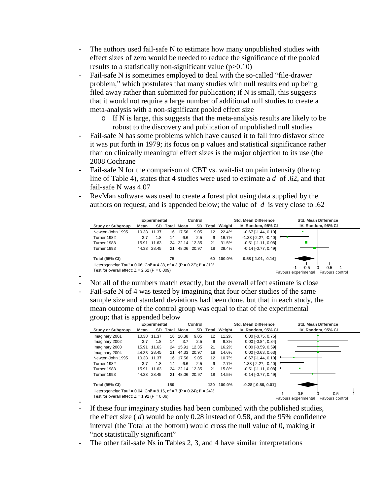- The authors used fail-safe N to estimate how many unpublished studies with effect sizes of zero would be needed to reduce the significance of the pooled results to a statistically non-significant value (p>0.10)
- Fail-safe N is sometimes employed to deal with the so-called "file-drawer problem," which postulates that many studies with null results end up being filed away rather than submitted for publication; if N is small, this suggests that it would not require a large number of additional null studies to create a meta-analysis with a non-significant pooled effect size
	- o If N is large, this suggests that the meta-analysis results are likely to be robust to the discovery and publication of unpublished null studies
- Fail-safe N has some problems which have caused it to fall into disfavor since it was put forth in 1979; its focus on p values and statistical significance rather than on clinically meaningful effect sizes is the major objection to its use (the 2008 Cochrane
- Fail-safe N for the comparison of CBT vs. wait-list on pain intensity (the top line of Table 4), states that 4 studies were used to estimate a *d* of .62, and that fail-safe N was 4.07
- RevMan software was used to create a forest plot using data supplied by the authors on request, and is appended below; the value of *d* is very close to .62



- Not all of the numbers match exactly, but the overall effect estimate is close
- Fail-safe N of 4 was tested by imagining that four other studies of the same sample size and standard deviations had been done, but that in each study, the mean outcome of the control group was equal to that of the experimental group; that is appended below

|                                                                                                  | . .          |             |       |          |           |       |                             |                              |                                         |
|--------------------------------------------------------------------------------------------------|--------------|-------------|-------|----------|-----------|-------|-----------------------------|------------------------------|-----------------------------------------|
|                                                                                                  | Experimental |             |       | Control  |           |       | <b>Std. Mean Difference</b> |                              | <b>Std. Mean Difference</b>             |
| <b>Study or Subgroup</b>                                                                         | Mean         | SD.         | Total | Mean     | <b>SD</b> | Total | Weight                      | IV, Random, 95% CI           | IV, Random, 95% CI                      |
| Imaginary 2001                                                                                   | 10.38        | 11.37       | 16    | 10.38    | 9.05      | 12    | 11.2%                       | $0.00$ [-0.75, 0.75]         |                                         |
| Imaginary 2002                                                                                   | 3.7          | 1.8         | 14    | 3.7      | 2.5       | 9     | 9.3%                        | $0.00$ [-0.84, 0.84]         |                                         |
| Imaginary 2003                                                                                   |              | 15.91 11.63 |       | 24 15.91 | 12.35     | 21    | 16.2%                       | $0.00$ [-0.59, 0.59]         |                                         |
| Imaginary 2004                                                                                   |              | 44.33 28.45 | 21    | 44.33    | 20.97     | 18    | 14.6%                       | $0.00$ [-0.63, 0.63]         |                                         |
| Newton-John 1995                                                                                 |              | 10.38 11.37 |       | 16 17.56 | 9.05      | 12    | 10.7%                       | $-0.67$ [ $-1.44$ , $0.10$ ] |                                         |
| Turner 1982                                                                                      | 3.7          | 1.8         | 14    | 6.6      | 2.5       | 9     | 7.7%                        | $-1.33$ [ $-2.27, -0.40$ ]   |                                         |
| Turner 1988                                                                                      | 15.91        | 11.63       |       | 24 22.14 | 12.35     | 21    | 15.8%                       | $-0.51$ [ $-1.11$ , $0.08$ ] |                                         |
| Turner 1993                                                                                      |              | 44.33 28.45 | 21    | 48.06    | 20.97     | 18    | 14.5%                       | $-0.14$ [ $-0.77, 0.49$ ]    |                                         |
| <b>Total (95% CI)</b>                                                                            |              |             | 150   |          |           | 120   | 100.0%                      | $-0.28$ [ $-0.56$ , $0.01$ ] |                                         |
| Heterogeneity: Tau <sup>2</sup> = 0.04; Chi <sup>2</sup> = 9.16, df = 7 (P = 0.24); $I^2 = 24\%$ |              |             |       |          |           |       |                             |                              | $-0.5$<br>0.5                           |
| Test for overall effect: $Z = 1.92$ (P = 0.06)                                                   |              |             |       |          |           |       |                             |                              | Favours experimental<br>Favours control |

- If these four imaginary studies had been combined with the published studies, the effect size ( *d*) would be only 0.28 instead of 0.58, and the 95% confidence interval (the Total at the bottom) would cross the null value of 0, making it "not statistically significant"
- The other fail-safe Ns in Tables 2, 3, and 4 have similar interpretations